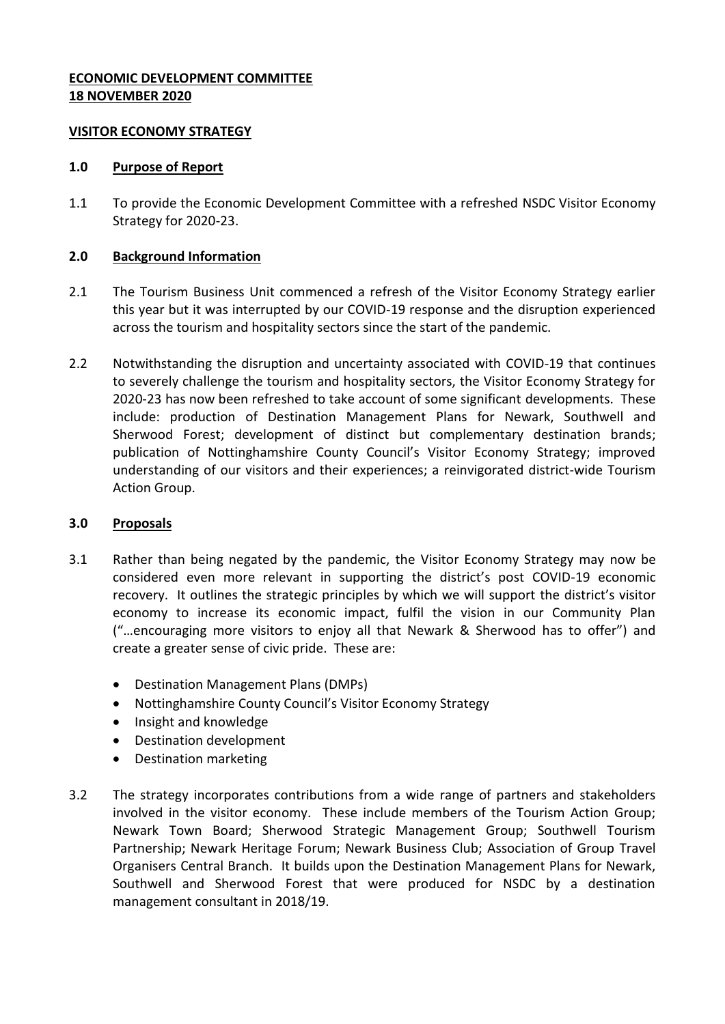# **ECONOMIC DEVELOPMENT COMMITTEE 18 NOVEMBER 2020**

### **VISITOR ECONOMY STRATEGY**

#### **1.0 Purpose of Report**

1.1 To provide the Economic Development Committee with a refreshed NSDC Visitor Economy Strategy for 2020-23.

### **2.0 Background Information**

- 2.1 The Tourism Business Unit commenced a refresh of the Visitor Economy Strategy earlier this year but it was interrupted by our COVID-19 response and the disruption experienced across the tourism and hospitality sectors since the start of the pandemic.
- 2.2 Notwithstanding the disruption and uncertainty associated with COVID-19 that continues to severely challenge the tourism and hospitality sectors, the Visitor Economy Strategy for 2020-23 has now been refreshed to take account of some significant developments. These include: production of Destination Management Plans for Newark, Southwell and Sherwood Forest; development of distinct but complementary destination brands; publication of Nottinghamshire County Council's Visitor Economy Strategy; improved understanding of our visitors and their experiences; a reinvigorated district-wide Tourism Action Group.

### **3.0 Proposals**

- 3.1 Rather than being negated by the pandemic, the Visitor Economy Strategy may now be considered even more relevant in supporting the district's post COVID-19 economic recovery. It outlines the strategic principles by which we will support the district's visitor economy to increase its economic impact, fulfil the vision in our Community Plan ("…encouraging more visitors to enjoy all that Newark & Sherwood has to offer") and create a greater sense of civic pride. These are:
	- Destination Management Plans (DMPs)
	- Nottinghamshire County Council's Visitor Economy Strategy
	- Insight and knowledge
	- Destination development
	- Destination marketing
- 3.2 The strategy incorporates contributions from a wide range of partners and stakeholders involved in the visitor economy. These include members of the Tourism Action Group; Newark Town Board; Sherwood Strategic Management Group; Southwell Tourism Partnership; Newark Heritage Forum; Newark Business Club; Association of Group Travel Organisers Central Branch. It builds upon the Destination Management Plans for Newark, Southwell and Sherwood Forest that were produced for NSDC by a destination management consultant in 2018/19.